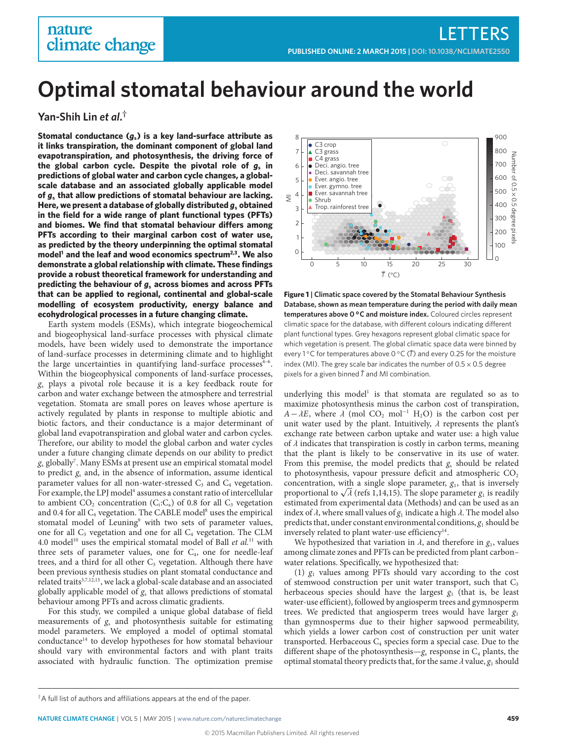# nature climate change

# **Optimal stomatal behaviour around the world**

**Yan-Shih Lin** *et al***. †**

**Stomatal conductance (***g***s) is a key land-surface attribute as it links transpiration, the dominant component of global land evapotranspiration, and photosynthesis, the driving force of the global carbon cycle. Despite the pivotal role of** *g***<sup>s</sup> in predictions of global water and carbon cycle changes, a globalscale database and an associated globally applicable model of** *g***<sup>s</sup> that allow predictions of stomatal behaviour are lacking. Here, we present a database of globally distributed** *g***<sup>s</sup> obtained in the field for a wide range of plant functional types (PFTs)** and biomes. We find that stomatal behaviour differs among **PFTs according to their marginal carbon cost of water use, as predicted by the theory underpinning the optimal stomatal model[1](#page-3-0) and the leaf and wood economics spectrum[2,](#page-4-0)[3](#page-4-1) . We also demonstrate a global relationship with climate. These findings provide a robust theoretical framework for understanding and predicting the behaviour of** *g***<sup>s</sup> across biomes and across PFTs that can be applied to regional, continental and global-scale modelling of ecosystem productivity, energy balance and ecohydrological processes in a future changing climate.**

Earth system models (ESMs), which integrate biogeochemical and biogeophysical land-surface processes with physical climate models, have been widely used to demonstrate the importance of land-surface processes in determining climate and to highlight the large uncertainties in quantifying land-surface processes<sup>4-[6](#page-4-3)</sup>. Within the biogeophysical components of land-surface processes,  $g_s$  plays a pivotal role because it is a key feedback route for carbon and water exchange between the atmosphere and terrestrial vegetation. Stomata are small pores on leaves whose aperture is actively regulated by plants in response to multiple abiotic and biotic factors, and their conductance is a major determinant of global land evapotranspiration and global water and carbon cycles. Therefore, our ability to model the global carbon and water cycles under a future changing climate depends on our ability to predict  $g_\mathrm{s}$  globally<sup>[7](#page-4-4)</sup>. Many ESMs at present use an empirical stomatal model to predict  $g_s$  and, in the absence of information, assume identical parameter values for all non-water-stressed  $C_3$  and  $C_4$  vegetation. For example, the LPJ model<sup>[4](#page-4-2)</sup> assumes a constant ratio of intercellular to ambient  $CO_2$  concentration (C<sub>i</sub>:C<sub>a</sub>) of 0.8 for all C<sub>3</sub> vegetation and 0.4 for all  $C_4$  vegetation. The CABLE model<sup>[8](#page-4-5)</sup> uses the empirical stomatal model of Leuning<sup>[9](#page-4-6)</sup> with two sets of parameter values, one for all  $C_3$  vegetation and one for all  $C_4$  vegetation. The CLM 4.0 model<sup>[10](#page-4-7)</sup> uses the empirical stomatal model of Ball et  $al$ .<sup>[11](#page-4-8)</sup> with three sets of parameter values, one for  $C_4$ , one for needle-leaf trees, and a third for all other  $C_3$  vegetation. Although there have been previous synthesis studies on plant stomatal conductance and related traits<sup>[3,](#page-4-1)[7](#page-4-4)[,12](#page-4-9)[,13](#page-4-10)</sup>, we lack a global-scale database and an associated globally applicable model of  $g_s$  that allows predictions of stomatal behaviour among PFTs and across climatic gradients.

For this study, we compiled a unique global database of field measurements of  $g_s$  and photosynthesis suitable for estimating model parameters. We employed a model of optimal stomatal conductance<sup>[14](#page-4-11)</sup> to develop hypotheses for how stomatal behaviour should vary with environmental factors and with plant traits associated with hydraulic function. The optimization premise



<span id="page-0-0"></span>**Figure 1 | Climatic space covered by the Stomatal Behaviour Synthesis Database, shown as mean temperature during the period with daily mean** temperatures above 0 °C and moisture index. Coloured circles represent climatic space for the database, with different colours indicating different plant functional types. Grey hexagons represent global climatic space for which vegetation is present. The global climatic space data were binned by every 1 °C for temperatures above 0 °C ( $\bar{T}$ ) and every 0.25 for the moisture index (MI). The grey scale bar indicates the number of  $0.5 \times 0.5$  degree pixels for a given binned  $\bar{T}$  and MI combination.

underlying this model<sup>[1](#page-3-0)</sup> is that stomata are regulated so as to maximize photosynthesis minus the carbon cost of transpiration,  $A-\lambda E$ , where  $\lambda$  (mol CO<sub>2</sub> mol<sup>-1</sup> H<sub>2</sub>O) is the carbon cost per unit water used by the plant. Intuitively,  $\lambda$  represents the plant's exchange rate between carbon uptake and water use: a high value of  $\lambda$  indicates that transpiration is costly in carbon terms, meaning that the plant is likely to be conservative in its use of water. From this premise, the model predicts that  $g_s$  should be related to photosynthesis, vapour pressure deficit and atmospheric  $CO<sub>2</sub>$ concentration, with a single slope parameter,  $g_1$ , that is inversely concentration, with a single slope parameter,  $g_1$  $g_1$ , that is inversely<br>proportional to  $\sqrt{\lambda}$  (refs 1[,14](#page-4-11)[,15\)](#page-4-12). The slope parameter  $g_1$  is readily<br>estimated from experimental data (Methods) and can be used as an estimated from experimental data (Methods) and can be used as an index of λ, where small values of  $g_1$  indicate a high λ. The model also<br>predicts that, under constant environmental conditions, φ, should be predicts that, under constant environmental conditions,  $g_1$  should be inversely related to plant water-use efficiency<sup>[14](#page-4-11)</sup>.

We hypothesized that variation in  $\lambda$ , and therefore in  $g_1$ , values<br>ong climate zones and PFTs can be predicted from plant carbon– among climate zones and PFTs can be predicted from plant carbon– water relations. Specifically, we hypothesized that:

(1)  $g_1$  values among PFTs should vary according to the cost of stemwood construction per unit water transport, such that  $C_3$ herbaceous species should have the largest  $g_1$  (that is, be least water-use efficient), followed by angiosperm trees and gymnosperm trees. We predicted that angiosperm trees would have larger  $g<sub>1</sub>$ than gymnosperms due to their higher sapwood permeability, which yields a lower carbon cost of construction per unit water transported. Herbaceous  $C_4$  species form a special case. Due to the different shape of the photosynthesis— $g_s$  response in  $C_4$  plants, the optimal stomatal theory predicts that, for the same  $\lambda$  value,  $g_1$  should

 $\dagger$ A full list of authors and affiliations appears at the end of the paper.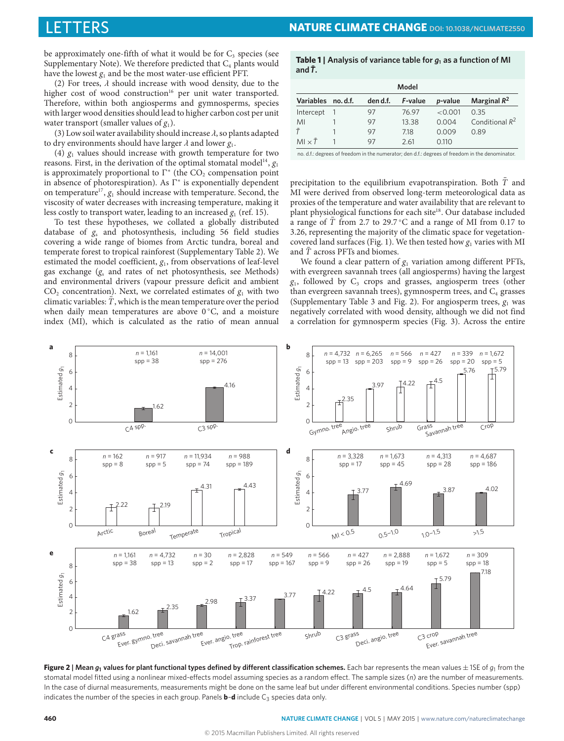be approximately one-fifth of what it would be for  $C_3$  species (see Supplementary Note). We therefore predicted that  $C_4$  plants would have the lowest  $g_1$  and be the most water-use efficient PFT.<br>(2) For trees,  $\lambda$  should increase with wood density, due to the

(2) For trees,  $\lambda$  should increase with wood density, due to the higher cost of wood construction<sup>[16](#page-4-13)</sup> per unit water transported. Therefore, within both angiosperms and gymnosperms, species with larger wood densities should lead to higher carbon cost per unit water transport (smaller values of  $g_1$ ).

(3) Low soil water availability should increase  $\lambda$ , so plants adapted to dry environments should have larger  $\lambda$  and lower  $g_1$ .<br>(4)  $g$ , values should increase with growth tempera

(4)  $g_1$  values should increase with growth temperature for two reasons. First, in the derivation of the optimal stomatal model<sup>[14](#page-4-11)</sup>,  $g_1$ is approximately proportional to  $\Gamma^*$  (the CO<sub>2</sub> compensation point in absence of photorespiration). As  $\Gamma^*$  is exponentially dependent on temperature<sup>[17](#page-4-14)</sup>,  $g_1$  should increase with temperature. Second, the viscosity of water decreases with increasing temperature, making it less costly to transport water, leading to an increased  $g_1$  (ref. [15\)](#page-4-12).

To test these hypotheses, we collated a globally distributed database of  $g_s$  and photosynthesis, including 56 field studies covering a wide range of biomes from Arctic tundra, boreal and temperate forest to tropical rainforest (Supplementary Table 2). We estimated the model coefficient,  $g_1$ , from observations of leaf-level gas exchange  $(g_s$  and rates of net photosynthesis, see Methods) and environmental drivers (vapour pressure deficit and ambient  $CO<sub>2</sub>$  concentration). Next, we correlated estimates of  $g<sub>1</sub>$  with two climatic variables:  $T$ , which is the mean temperature over the period when daily mean temperatures are above  $0^{\circ}$ C, and a moisture index (MI), which is calculated as the ratio of mean annual

#### <span id="page-1-1"></span>**Table 1** | Analysis of variance table for  $g_1$  as a function of MI and  $\bar{T}$ .

| Model               |  |          |         |         |                   |
|---------------------|--|----------|---------|---------|-------------------|
| Variables no.d.f.   |  | den d.f. | F-value | p-value | Marginal $R^2$    |
| Intercept           |  | 97       | 76.97   | < 0.001 | 0.35              |
| MI                  |  | 97       | 13.38   | 0.004   | Conditional $R^2$ |
|                     |  | 97       | 718     | 0.009   | 0.89              |
| $M1 \times \bar{T}$ |  | 97       | 2.61    | 0.110   |                   |

no. d.f.: degrees of freedom in the numerator; den d.f.: degrees of freedom in the denominator.

precipitation to the equilibrium evapotranspiration. Both  $\overline{T}$  and MI were derived from observed long-term meteorological data as proxies of the temperature and water availability that are relevant to plant physiological functions for each site<sup>[18](#page-4-15)</sup>. Our database included a range of  $\overline{T}$  from 2.7 to 29.7 °C and a range of MI from 0.17 to 3.26, representing the majority of the climatic space for vegetation-covered land surfaces (Fig. [1\)](#page-0-0). We then tested how  $g_1$  varies with MI and T across PFTs and biomes.

We found a clear pattern of  $g_1$  variation among different PFTs, with evergreen savannah trees (all angiosperms) having the largest  $g_1$ , followed by  $C_3$  crops and grasses, angiosperm trees (other than evergreen savannah trees), gymnosperm trees, and  $C_4$  grasses (Supplementary Table 3 and Fig. [2\)](#page-1-0). For angiosperm trees,  $g_1$  was negatively correlated with wood density, although we did not find a correlation for gymnosperm species (Fig. [3\)](#page-2-0). Across the entire



<span id="page-1-0"></span>**Figure 2** | Mean  $g_1$  values for plant functional types defined by different classification schemes. Each bar represents the mean values  $\pm$  1SE of  $g_1$  from the stomatal model fitted using a nonlinear mixed-effects model assuming species as a random effect. The sample sizes (n) are the number of measurements. In the case of diurnal measurements, measurements might be done on the same leaf but under different environmental conditions. Species number (spp) indicates the number of the species in each group. Panels  $\mathbf{b}$ –**d** include  $C_3$  species data only.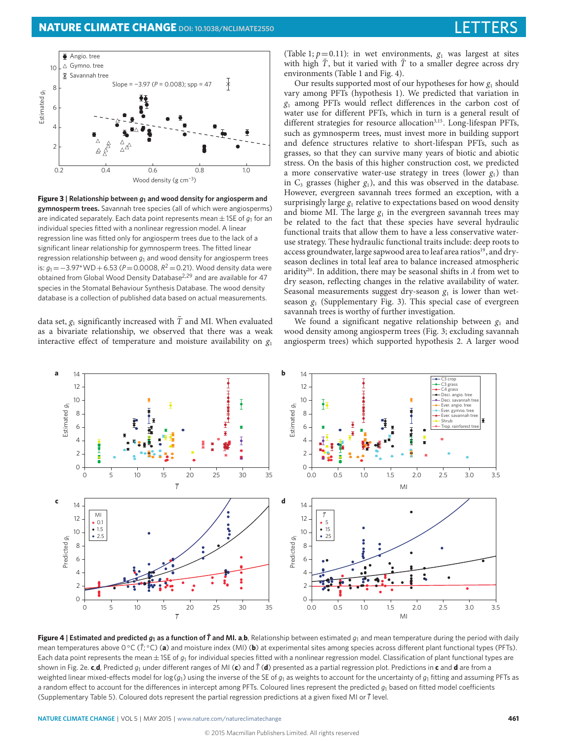

<span id="page-2-0"></span>**Figure 3 | Relationship between** *g***<sup>1</sup> and wood density for angiosperm and gymnosperm trees.** Savannah tree species (all of which were angiosperms) are indicated separately. Each data point represents mean  $\pm$  1SE of  $g_1$  for an individual species fitted with a nonlinear regression model. A linear regression line was fitted only for angiosperm trees due to the lack of a significant linear relationship for gymnosperm trees. The fitted linear regression relationship between *g*<sup>1</sup> and wood density for angiosperm trees is: *g*<sup>1</sup> =−3.97∗WD+6.53 (*P*=0.0008, *R* <sup>2</sup> =0.21). Wood density data were obtained from Global Wood Density Database[2,](#page-4-0)[29](#page-4-16) and are available for 47 species in the Stomatal Behaviour Synthesis Database. The wood density database is a collection of published data based on actual measurements.

data set,  $g_1$  significantly increased with  $\overline{T}$  and MI. When evaluated as a bivariate relationship, we observed that there was a weak interactive effect of temperature and moisture availability on  $g_1$ 

(Table [1;](#page-1-1)  $p=0.11$ ): in wet environments,  $g_1$  was largest at sites with high  $\overline{T}$ , but it varied with  $\overline{T}$  to a smaller degree across dry environments (Table [1](#page-1-1) and Fig. [4\)](#page-2-1).

Our results supported most of our hypotheses for how  $g_1$  should vary among PFTs (hypothesis 1). We predicted that variation in  $g<sub>1</sub>$  among PFTs would reflect differences in the carbon cost of water use for different PFTs, which in turn is a general result of different strategies for resource allocation<sup>[3,](#page-4-1)[15](#page-4-12)</sup>. Long-lifespan PFTs, such as gymnosperm trees, must invest more in building support and defence structures relative to short-lifespan PFTs, such as grasses, so that they can survive many years of biotic and abiotic stress. On the basis of this higher construction cost, we predicted a more conservative water-use strategy in trees (lower  $g_1$ ) than in  $C_3$  grasses (higher  $g_1$ ), and this was observed in the database. However, evergreen savannah trees formed an exception, with a surprisingly large  $g_1$  relative to expectations based on wood density and biome MI. The large  $g_1$  in the evergreen savannah trees may be related to the fact that these species have several hydraulic functional traits that allow them to have a less conservative wateruse strategy. These hydraulic functional traits include: deep roots to access groundwater, large sapwood area to leaf area ratios<sup>[19](#page-4-17)</sup>, and dryseason declines in total leaf area to balance increased atmospheric aridity<sup>[20](#page-4-18)</sup>. In addition, there may be seasonal shifts in  $\lambda$  from wet to dry season, reflecting changes in the relative availability of water. Seasonal measurements suggest dry-season  $g_1$  is lower than wetseason  $g_1$  (Supplementary Fig. 3). This special case of evergreen savannah trees is worthy of further investigation.

We found a significant negative relationship between  $g_1$  and wood density among angiosperm trees (Fig. [3;](#page-2-0) excluding savannah angiosperm trees) which supported hypothesis 2. A larger wood



<span id="page-2-1"></span>Figure 4 | Estimated and predicted  $q_1$  as a function of  $\vec{\tau}$  and MI. a.b. Relationship between estimated  $q_1$  and mean temperature during the period with daily mean temperatures above 0 °C ( $\bar{T}$ ; °C) (a) and moisture index (MI) (b) at experimental sites among species across different plant functional types (PFTs). Each data point represents the mean  $\pm$  1SE of  $g_1$  for individual species fitted with a nonlinear regression model. Classification of plant functional types are shown in Fig. [2e](#page-1-0). **c,d**, Predicted  $q_1$  under different ranges of MI (**c**) and  $\bar{T}$  (**d**) presented as a partial regression plot. Predictions in **c** and **d** are from a weighted linear mixed-effects model for log( $g_1$ ) using the inverse of the SE of  $g_1$  as weights to account for the uncertainty of  $g_1$  fitting and assuming PFTs as a random effect to account for the differences in intercept among PFTs. Coloured lines represent the predicted  $g_1$  based on fitted model coefficients (Supplementary Table 5). Coloured dots represent the partial regression predictions at a given fixed MI or*T*¯ level.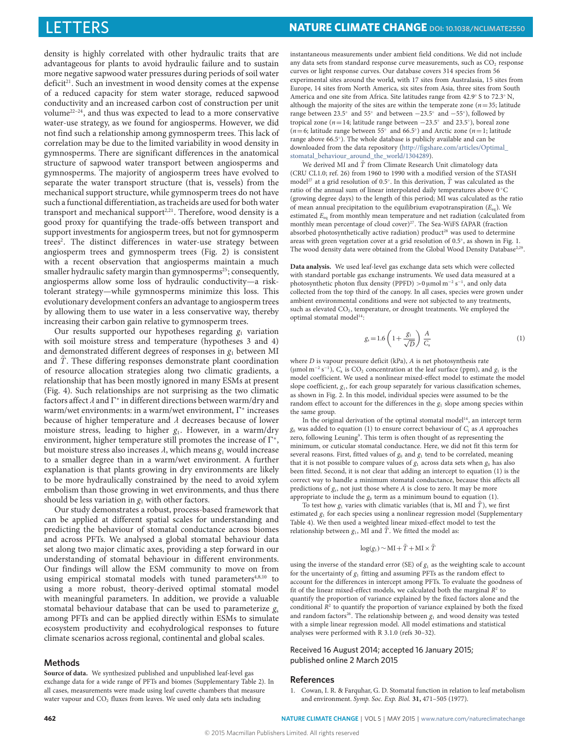density is highly correlated with other hydraulic traits that are advantageous for plants to avoid hydraulic failure and to sustain more negative sapwood water pressures during periods of soil water deficit<sup>[21](#page-4-19)</sup>. Such an investment in wood density comes at the expense of a reduced capacity for stem water storage, reduced sapwood conductivity and an increased carbon cost of construction per unit volume[22](#page-4-20)[–24](#page-4-21), and thus was expected to lead to a more conservative water-use strategy, as we found for angiosperms. However, we did not find such a relationship among gymnosperm trees. This lack of correlation may be due to the limited variability in wood density in gymnosperms. There are significant differences in the anatomical structure of sapwood water transport between angiosperms and gymnosperms. The majority of angiosperm trees have evolved to separate the water transport structure (that is, vessels) from the mechanical support structure, while gymnosperm trees do not have such a functional differentiation, as tracheids are used for both water transport and mechanical support<sup>[2,](#page-4-0)[21](#page-4-19)</sup>. Therefore, wood density is a good proxy for quantifying the trade-offs between transport and support investments for angiosperm trees, but not for gymnosperm trees<sup>[2](#page-4-0)</sup>. The distinct differences in water-use strategy between angiosperm trees and gymnosperm trees (Fig. [2\)](#page-1-0) is consistent with a recent observation that angiosperms maintain a much smaller hydraulic safety margin than gymnosperms<sup>[25](#page-4-22)</sup>; consequently, angiosperms allow some loss of hydraulic conductivity—a risktolerant strategy—while gymnosperms minimize this loss. This evolutionary development confers an advantage to angiosperm trees by allowing them to use water in a less conservative way, thereby increasing their carbon gain relative to gymnosperm trees.

Our results supported our hypotheses regarding  $g_1$  variation with soil moisture stress and temperature (hypotheses 3 and 4) and demonstrated different degrees of responses in  $g_1$  between MI and  $\overline{T}$ . These differing responses demonstrate plant coordination of resource allocation strategies along two climatic gradients, a relationship that has been mostly ignored in many ESMs at present (Fig. [4\)](#page-2-1). Such relationships are not surprising as the two climatic factors affect λ and Γ\* in different directions between warm/dry and<br>warm/wet environments: in a warm/wet environment. Γ\* increases warm/wet environments: in a warm/wet environment,  $\Gamma^*$  increases because of higher temperature and  $\lambda$  decreases because of lower moisture stress, leading to higher  $g_1$ . However, in a warm/dry environment, higher temperature still promotes the increase of  $\Gamma^*$ , but moisture stress also increases  $\lambda$ , which means  $g_1$  would increase to a smaller degree than in a warm/wet environment. A further explanation is that plants growing in dry environments are likely to be more hydraulically constrained by the need to avoid xylem embolism than those growing in wet environments, and thus there should be less variation in  $g_1$  with other factors.

Our study demonstrates a robust, process-based framework that can be applied at different spatial scales for understanding and predicting the behaviour of stomatal conductance across biomes and across PFTs. We analysed a global stomatal behaviour data set along two major climatic axes, providing a step forward in our understanding of stomatal behaviour in different environments. Our findings will allow the ESM community to move on from using empirical stomatal models with tuned parameters<sup>[4](#page-4-2)[,8](#page-4-5)[,10](#page-4-7)</sup> to using a more robust, theory-derived optimal stomatal model with meaningful parameters. In addition, we provide a valuable stomatal behaviour database that can be used to parameterize  $g_s$ among PFTs and can be applied directly within ESMs to simulate ecosystem productivity and ecohydrological responses to future climate scenarios across regional, continental and global scales.

#### **Methods**

**Source of data.** We synthesized published and unpublished leaf-level gas exchange data for a wide range of PFTs and biomes (Supplementary Table 2). In all cases, measurements were made using leaf cuvette chambers that measure water vapour and  $CO<sub>2</sub>$  fluxes from leaves. We used only data sets including

instantaneous measurements under ambient field conditions. We did not include any data sets from standard response curve measurements, such as  $CO<sub>2</sub>$  response curves or light response curves. Our database covers 314 species from 56 experimental sites around the world, with 17 sites from Australasia, 15 sites from Europe, 14 sites from North America, six sites from Asia, three sites from South America and one site from Africa. Site latitudes range from 42.9◦ S to 72.3◦ N, although the majority of the sites are within the temperate zone ( $n=35$ ; latitude range between  $23.5°$  and  $55°$  and between  $-23.5°$  and  $-55°$ ), followed by tropical zone ( $n=14$ ; latitude range between  $-23.5°$  and  $23.5°$ ), boreal zone ( $n=6$ ; latitude range between 55° and 66.5°) and Arctic zone ( $n=1$ ; latitude range above 66.5◦ ). The whole database is publicly available and can be downloaded from the data repository [\(http://figshare.com/articles/Optimal\\_](http://figshare.com/articles/Optimal_stomatal_behaviour_around_the_world/1304289) stomatal behaviour around the world/1304289).

We derived MI and  $\overline{T}$  from Climate Research Unit climatology data (CRU CL1.0; ref. [26\)](#page-4-23) from 1960 to 1990 with a modified version of the STASH model<sup>[27](#page-4-24)</sup> at a grid resolution of 0.5°. In this derivation,  $\bar{T}$  was calculated as the ratio of the annual sum of linear interpolated daily temperatures above 0 ◦C (growing degree days) to the length of this period; MI was calculated as the ratio of mean annual precipitation to the equilibrium evapotranspiration  $(E_{eq})$ . We estimated  $E_{eq}$  from monthly mean temperature and net radiation (calculated from monthly mean percentage of cloud cover)<sup>[27](#page-4-24)</sup>. The Sea-WiFS fAPAR (fraction absorbed photosynthetically active radiation) product<sup>[28](#page-4-25)</sup> was used to determine areas with green vegetation cover at a grid resolution of 0.5◦ , as shown in Fig. [1.](#page-0-0) The wood density data were obtained from the Global Wood Density Database<sup>[2](#page-4-0)29</sup>.

**Data analysis.** We used leaf-level gas exchange data sets which were collected with standard portable gas exchange instruments. We used data measured at a photosynthetic photon flux density (PPFD) >0  $\mu$ mol m<sup>-2</sup> s<sup>-1</sup>, and only data collected from the top third of the canopy. In all cases, species were grown under ambient environmental conditions and were not subjected to any treatments, such as elevated  $CO<sub>2</sub>$ , temperature, or drought treatments. We employed the optimal stomatal model<sup>[14](#page-4-11)</sup>:

<span id="page-3-1"></span>
$$
g_s = 1.6\left(1 + \frac{g_1}{\sqrt{D}}\right)\frac{A}{C_a} \tag{1}
$$

where *D* is vapour pressure deficit (kPa), *A* is net photosynthesis rate (µmol m<sup>-2</sup> s<sup>-1</sup>),  $C_a$  is CO<sub>2</sub> concentration at the leaf surface (ppm), and  $g_1$  is the model coefficient. We used a nonlinear mixed-effect model to estimate the model slope coefficient,  $g_1$ , for each group separately for various classification schemes, as shown in Fig. [2.](#page-1-0) In this model, individual species were assumed to be the random effect to account for the differences in the  $g_1$  slope among species within the same group.

In the original derivation of the optimal stomatal model<sup>[14](#page-4-11)</sup>, an intercept term  $g_0$  was added to equation [\(1\)](#page-3-1) to ensure correct behaviour of  $C_i$  as A approaches zero, following Leuning<sup>[9](#page-4-6)</sup>. This term is often thought of as representing the minimum, or cuticular stomatal conductance. Here, we did not fit this term for several reasons. First, fitted values of  $g_0$  and  $g_1$  tend to be correlated, meaning that it is not possible to compare values of  $g_1$  across data sets when  $g_0$  has also been fitted. Second, it is not clear that adding an intercept to equation [\(1\)](#page-3-1) is the correct way to handle a minimum stomatal conductance, because this affects all predictions of  $g_s$ , not just those where A is close to zero. It may be more appropriate to include the  $g_0$  term as a minimum bound to equation [\(1\)](#page-3-1).

To test how  $g_1$  varies with climatic variables (that is, MI and  $\overline{T}$ ), we first estimated  $g_1$  for each species using a nonlinear regression model (Supplementary Table 4). We then used a weighted linear mixed-effect model to test the relationship between  $g_1$ , MI and  $\overline{T}$ . We fitted the model as:

#### $log(g_1) \sim MI + \bar{T} + MI \times \bar{T}$

using the inverse of the standard error (SE) of  $g_1$  as the weighting scale to account for the uncertainty of  $g_1$  fitting and assuming PFTs as the random effect to account for the differences in intercept among PFTs. To evaluate the goodness of fit of the linear mixed-effect models, we calculated both the marginal  $R<sup>2</sup>$  to quantify the proportion of variance explained by the fixed factors alone and the conditional  $R<sup>2</sup>$  to quantify the proportion of variance explained by both the fixed and random factors<sup>[26](#page-4-23)</sup>. The relationship between  $g_1$  and wood density was tested with a simple linear regression model. All model estimations and statistical analyses were performed with R 3.1.0 (refs [30–](#page-4-26)[32\)](#page-4-27).

#### Received 16 August 2014; accepted 16 January 2015; published online 2 March 2015

#### **References**

<span id="page-3-0"></span>1. Cowan, I. R. & Farquhar, G. D. Stomatal function in relation to leaf metabolism and environment. Symp. Soc. Exp. Biol. **31,** 471–505 (1977).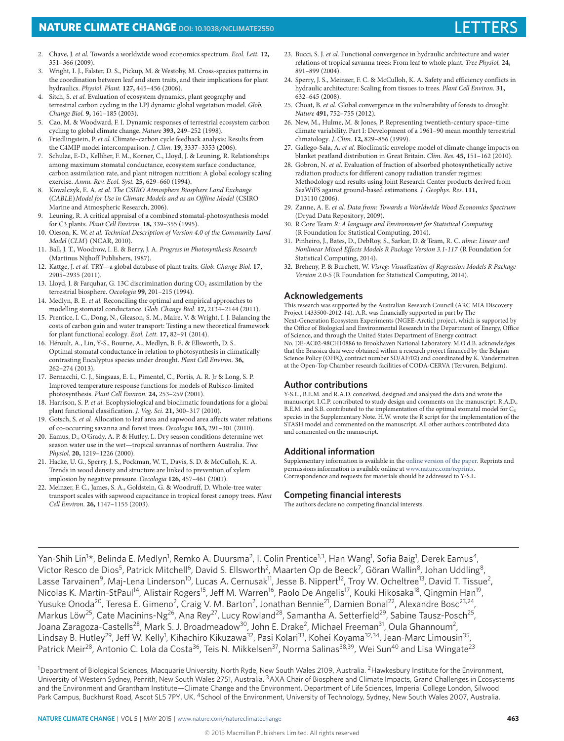- <span id="page-4-0"></span>2. Chave, J. et al. Towards a worldwide wood economics spectrum. Ecol. Lett. **12,** 351–366 (2009).
- <span id="page-4-1"></span>3. Wright, I. J., Falster, D. S., Pickup, M. & Westoby, M. Cross-species patterns in the coordination between leaf and stem traits, and their implications for plant hydraulics. Physiol. Plant. **127,** 445–456 (2006).
- <span id="page-4-2"></span>4. Sitch, S. et al. Evaluation of ecosystem dynamics, plant geography and terrestrial carbon cycling in the LPJ dynamic global vegetation model. Glob. Change Biol. **9,** 161–185 (2003).
- 5. Cao, M. & Woodward, F. I. Dynamic responses of terrestrial ecosystem carbon cycling to global climate change. Nature **393,** 249–252 (1998).
- <span id="page-4-3"></span>6. Friedlingstein, P. et al. Climate–carbon cycle feedback analysis: Results from the C4MIP model intercomparison. J. Clim. **19,** 3337–3353 (2006).
- <span id="page-4-4"></span>7. Schulze, E-D., Kelliher, F. M., Korner, C., Lloyd, J. & Leuning, R. Relationships among maximum stomatal conductance, ecosystem surface conductance, carbon assimilation rate, and plant nitrogen nutrition: A global ecology scaling exercise. Annu. Rev. Ecol. Syst. **25,** 629–660 (1994).
- <span id="page-4-5"></span>8. Kowalczyk, E. A. et al. The CSIRO Atmosphere Biosphere Land Exchange (CABLE)Model for Use in Climate Models and as an Offline Model (CSIRO Marine and Atmospheric Research, 2006).
- <span id="page-4-6"></span>9. Leuning, R. A critical appraisal of a combined stomatal-photosynthesis model for C3 plants. Plant Cell Environ. **18,** 339–355 (1995).
- <span id="page-4-7"></span>10. Oleson, K. W. et al. Technical Description of Version 4.0 of the Community Land Model (CLM) (NCAR, 2010).
- <span id="page-4-8"></span>11. Ball, J. T., Woodrow, I. E. & Berry, J. A. Progress in Photosynthesis Research (Martinus Nijhoff Publishers, 1987).
- <span id="page-4-9"></span>12. Kattge, J. et al. TRY—a global database of plant traits. Glob. Change Biol. **17,** 2905–2935 (2011).
- <span id="page-4-10"></span>13. Lloyd, J. & Farquhar, G. 13C discrimination during CO<sub>2</sub> assimilation by the terrestrial biosphere. Oecologia **99,** 201–215 (1994).
- <span id="page-4-11"></span>14. Medlyn, B. E. et al. Reconciling the optimal and empirical approaches to modelling stomatal conductance. Glob. Change Biol. **17,** 2134–2144 (2011).
- <span id="page-4-12"></span>15. Prentice, I. C., Dong, N., Gleason, S. M., Maire, V. & Wright, I. J. Balancing the costs of carbon gain and water transport: Testing a new theoretical framework for plant functional ecology. Ecol. Lett. **17,** 82–91 (2014).
- <span id="page-4-13"></span>16. Héroult, A., Lin, Y-S., Bourne, A., Medlyn, B. E. & Ellsworth, D. S. Optimal stomatal conductance in relation to photosynthesis in climatically contrasting Eucalyptus species under drought. Plant Cell Environ. **36,** 262–274 (2013).
- <span id="page-4-14"></span>17. Bernacchi, C. J., Singsaas, E. L., Pimentel, C., Portis, A. R. Jr & Long, S. P. Improved temperature response functions for models of Rubisco-limited photosynthesis. Plant Cell Environ. **24,** 253–259 (2001).
- <span id="page-4-15"></span>18. Harrison, S. P. et al. Ecophysiological and bioclimatic foundations for a global plant functional classification. J. Veg. Sci. **21,** 300–317 (2010).
- <span id="page-4-17"></span>19. Gotsch, S. et al. Allocation to leaf area and sapwood area affects water relations of co-occurring savanna and forest trees. Oecologia **163,** 291–301 (2010).
- <span id="page-4-18"></span>20. Eamus, D., O'Grady, A. P. & Hutley, L. Dry season conditions determine wet season water use in the wet—tropical savannas of northern Australia. Tree Physiol. **20,** 1219–1226 (2000).
- <span id="page-4-19"></span>21. Hacke, U. G., Sperry, J. S., Pockman, W. T., Davis, S. D. & McCulloh, K. A. Trends in wood density and structure are linked to prevention of xylem implosion by negative pressure. Oecologia **126,** 457–461 (2001).
- <span id="page-4-20"></span>22. Meinzer, F. C., James, S. A., Goldstein, G. & Woodruff, D. Whole-tree water transport scales with sapwood capacitance in tropical forest canopy trees. Plant Cell Environ. **26,** 1147–1155 (2003).
- 23. Bucci, S. J. et al. Functional convergence in hydraulic architecture and water relations of tropical savanna trees: From leaf to whole plant. Tree Physiol. **24,** 891–899 (2004).
- <span id="page-4-21"></span>24. Sperry, J. S., Meinzer, F. C. & McCulloh, K. A. Safety and efficiency conflicts in hydraulic architecture: Scaling from tissues to trees. Plant Cell Environ. **31,** 632–645 (2008).
- <span id="page-4-22"></span>25. Choat, B. et al. Global convergence in the vulnerability of forests to drought. Nature **491,** 752–755 (2012).
- <span id="page-4-23"></span>26. New, M., Hulme, M. & Jones, P. Representing twentieth-century space–time climate variability. Part I: Development of a 1961–90 mean monthly terrestrial climatology. J. Clim. **12,** 829–856 (1999).
- <span id="page-4-24"></span>27. Gallego-Sala, A. et al. Bioclimatic envelope model of climate change impacts on blanket peatland distribution in Great Britain. Clim. Res. **45,** 151–162 (2010).
- <span id="page-4-25"></span>28. Gobron, N. et al. Evaluation of fraction of absorbed photosynthetically active radiation products for different canopy radiation transfer regimes: Methodology and results using Joint Research Center products derived from SeaWiFS against ground-based estimations. J. Geophys. Res. **111,** D13110 (2006).
- <span id="page-4-16"></span>29. Zanne, A. E. et al. Data from: Towards a Worldwide Wood Economics Spectrum (Dryad Data Repository, 2009).
- <span id="page-4-26"></span>30. R Core Team R: A language and Environment for Statistical Computing (R Foundation for Statistical Computing, 2014).
- 31. Pinheiro, J., Bates, D., DebRoy, S., Sarkar, D. & Team, R. C. nlme: Linear and Nonlinear Mixed Effects Models R Package Version 3.1-117 (R Foundation for Statistical Computing, 2014).
- <span id="page-4-27"></span>32. Breheny, P. & Burchett, W. Visreg: Visualization of Regression Models R Package Version 2.0-5 (R Foundation for Statistical Computing, 2014).

### **Acknowledgements**

This research was supported by the Australian Research Council (ARC MIA Discovery Project 1433500-2012-14). A.R. was financially supported in part by The Next-Generation Ecosystem Experiments (NGEE-Arctic) project, which is supported by the Office of Biological and Environmental Research in the Department of Energy, Office of Science, and through the United States Department of Energy contract No. DE-AC02-98CH10886 to Brookhaven National Laboratory. M.O.d.B. acknowledges that the Brassica data were obtained within a research project financed by the Belgian Science Policy (OFFQ, contract number SD/AF/02) and coordinated by K. Vandermeiren at the Open-Top Chamber research facilities of CODA-CERVA (Tervuren, Belgium).

### **Author contributions**

Y-S.L., B.E.M. and R.A.D. conceived, designed and analysed the data and wrote the manuscript. I.C.P. contributed to study design and comments on the manuscript. R.A.D., B.E.M. and S.B. contributed to the implementation of the optimal stomatal model for C<sup>4</sup> species in the Supplementary Note. H.W. wrote the R script for the implementation of the STASH model and commented on the manuscript. All other authors contributed data and commented on the manuscript.

### **Additional information**

Supplementary information is available in the [online version of the paper.](http://www.nature.com/doifinder/10.1038/nclimate2550) Reprints and permissions information is available online at [www.nature.com/reprints.](http://www.nature.com/reprints) Correspondence and requests for materials should be addressed to Y-S.L.

### **Competing financial interests**

The authors declare no competing financial interests.

Yan-Shih Lin<sup>1</sup>\*, Belinda E. Medlyn<sup>1</sup>, Remko A. Duursma<sup>2</sup>, I. Colin Prentice<sup>1,3</sup>, Han Wang<sup>1</sup>, Sofia Baig<sup>1</sup>, Derek Eamus<sup>4</sup>, Victor Resco de Dios<sup>5</sup>, Patrick Mitchell<sup>6</sup>, David S. Ellsworth<sup>2</sup>, Maarten Op de Beeck<sup>7</sup>, Göran Wallin<sup>8</sup>, Johan Uddling<sup>8</sup>, Lasse Tarvainen<sup>9</sup>, Maj-Lena Linderson<sup>10</sup>, Lucas A. Cernusak<sup>11</sup>, Jesse B. Nippert<sup>12</sup>, Troy W. Ocheltree<sup>13</sup>, David T. Tissue<sup>2</sup>, Nicolas K. Martin-StPaul<sup>14</sup>, Alistair Rogers<sup>15</sup>, Jeff M. Warren<sup>16</sup>, Paolo De Angelis<sup>17</sup>, Kouki Hikosaka<sup>18</sup>, Qingmin Han<sup>19</sup>, Yusuke Onoda<sup>20</sup>, Teresa E. Gimeno<sup>2</sup>, Craig V. M. Barton<sup>2</sup>, Jonathan Bennie<sup>21</sup>, Damien Bonal<sup>22</sup>, Alexandre Bosc<sup>23,24</sup>, Markus Löw<sup>25</sup>, Cate Macinins-Ng<sup>26</sup>, Ana Rey<sup>27</sup>, Lucy Rowland<sup>28</sup>, Samantha A. Setterfield<sup>29</sup>, Sabine Tausz-Posch<sup>25</sup>, Joana Zaragoza-Castells<sup>28</sup>, Mark S. J. Broadmeadow<sup>30</sup>, John E. Drake<sup>2</sup>, Michael Freeman<sup>31</sup>, Oula Ghannoum<sup>2</sup>, Lindsay B. Hutley<sup>29</sup>, Jeff W. Kelly<sup>1</sup>, Kihachiro Kikuzawa<sup>32</sup>, Pasi Kolari<sup>33</sup>, Kohei Koyama<sup>32,34</sup>, Jean-Marc Limousin<sup>35</sup>, Patrick Meir<sup>28</sup>, Antonio C. Lola da Costa<sup>36</sup>, Teis N. Mikkelsen<sup>37</sup>, Norma Salinas<sup>38,39</sup>, Wei Sun<sup>40</sup> and Lisa Wingate<sup>23</sup>

<sup>1</sup>Department of Biological Sciences, Macquarie University, North Ryde, New South Wales 2109, Australia. <sup>2</sup>Hawkesbury Institute for the Environment, University of Western Sydney, Penrith, New South Wales 2751, Australia. <sup>3</sup>AXA Chair of Biosphere and Climate Impacts, Grand Challenges in Ecosystems and the Environment and Grantham Institute—Climate Change and the Environment, Department of Life Sciences, Imperial College London, Silwood Park Campus, Buckhurst Road, Ascot SL5 7PY, UK. <sup>4</sup>School of the Environment, University of Technology, Sydney, New South Wales 2007, Australia.